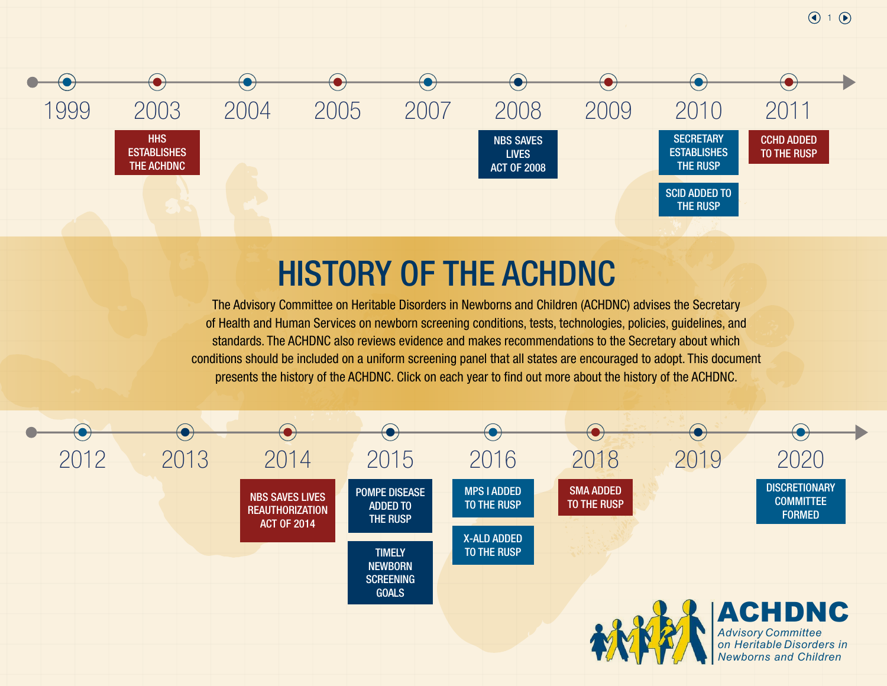

The Advisory Committee on Heritable Disorders in Newborns and Children (ACHDNC) advises the Secretary of Health and Human Services on newborn screening conditions, tests, technologies, policies, guidelines, and standards. The ACHDNC also reviews evidence and makes recommendations to the Secretary about which conditions should be included on a uniform screening panel that all states are encouraged to adopt. This document presents the history of the ACHDNC. Click on each year to find out more about the history of the ACHDNC.

 $\bigodot$  1 $\bigodot$ 

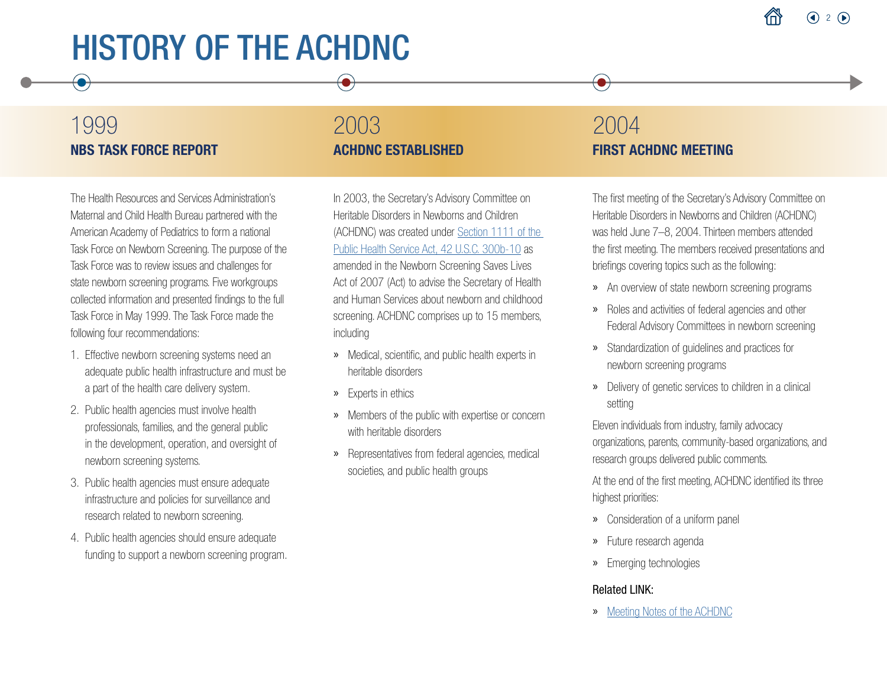## 1999 NBS TASK FORCE REPORT

## 2003 ACHDNC ESTABLISHED

The Health Resources and Services Administration's Maternal and Child Health Bureau partnered with the American Academy of Pediatrics to form a national Task Force on Newborn Screening. The purpose of the Task Force was to review issues and challenges for state newborn screening programs. Five workgroups collected information and presented findings to the full Task Force in May 1999. The Task Force made the following four recommendations:

- 1. Effective newborn screening systems need an adequate public health infrastructure and must be a part of the health care delivery system.
- 2. Public health agencies must involve health professionals, families, and the general public in the development, operation, and oversight of newborn screening systems.
- 3. Public health agencies must ensure adequate infrastructure and policies for surveillance and research related to newborn screening.
- 4. Public health agencies should ensure adequate funding to support a newborn screening program.

In 2003, the Secretary's Advisory Committee on Heritable Disorders in Newborns and Children (ACHDNC) was created under [Section 1111 of the](https://www.govinfo.gov/content/pkg/PLAW-106publ310/html/PLAW-106publ310.htm)  [Public Health Service Act, 42 U.S.C. 300b-10](https://www.govinfo.gov/content/pkg/PLAW-106publ310/html/PLAW-106publ310.htm) as amended in the Newborn Screening Saves Lives Act of 2007 (Act) to advise the Secretary of Health and Human Services about newborn and childhood screening. ACHDNC comprises up to 15 members, including

- » Medical, scientific, and public health experts in heritable disorders
- » Experts in ethics
- » Members of the public with expertise or concern with heritable disorders
- » Representatives from federal agencies, medical societies, and public health groups

## 2004 FIRST ACHDNC MEETING

 $\bullet$ 

The first meeting of the Secretary's Advisory Committee on Heritable Disorders in Newborns and Children (ACHDNC) was held June 7–8, 2004. Thirteen members attended the first meeting. The members received presentations and briefings covering topics such as the following:

- » An overview of state newborn screening programs
- » Roles and activities of federal agencies and other Federal Advisory Committees in newborn screening
- » Standardization of guidelines and practices for newborn screening programs
- » Delivery of genetic services to children in a clinical setting

Eleven individuals from industry, family advocacy organizations, parents, community-based organizations, and research groups delivered public comments.

At the end of the first meeting, ACHDNC identified its three highest priorities:

- » Consideration of a uniform panel
- » Future research agenda
- » Emerging technologies

### Related LINK:

» [Meeting Notes of the ACHDNC](https://www.hrsa.gov/advisory-committees/heritable-disorders/meetings/archive.html)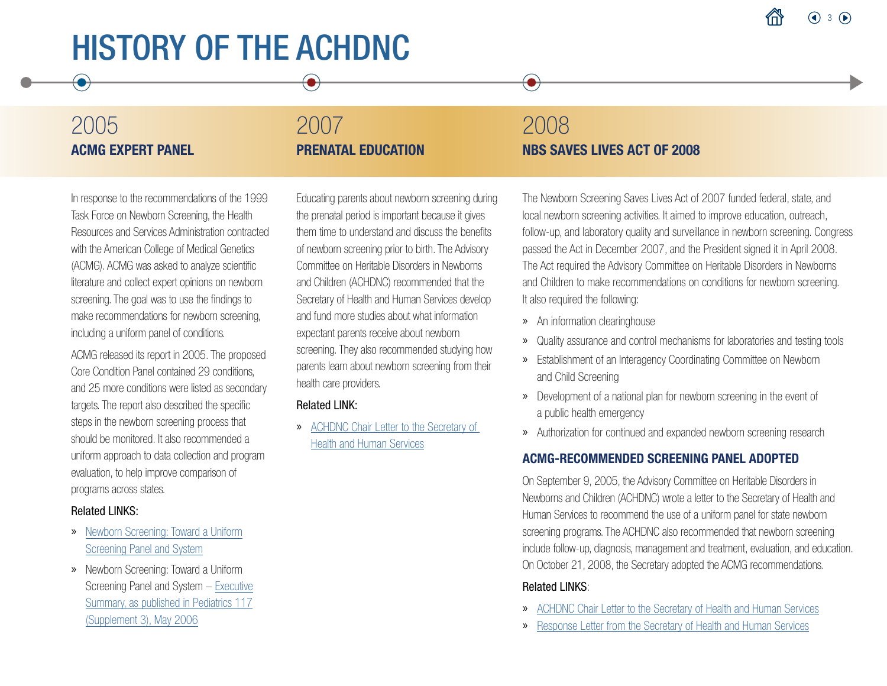## 2005 ACMG EXPERT PANEL

## 2007 PRENATAL EDUCATION

## 2008 NBS SAVES LIVES ACT OF 2008

 $\bullet$ 

In response to the recommendations of the 1999 Task Force on Newborn Screening, the Health Resources and Services Administration contracted with the American College of Medical Genetics (ACMG). ACMG was asked to analyze scientific literature and collect expert opinions on newborn screening. The goal was to use the findings to make recommendations for newborn screening, including a uniform panel of conditions.

ACMG released its report in 2005. The proposed Core Condition Panel contained 29 conditions, and 25 more conditions were listed as secondary targets. The report also described the specific steps in the newborn screening process that should be monitored. It also recommended a uniform approach to data collection and program evaluation, to help improve comparison of programs across states.

#### Related LINKS:

- » [Newborn Screening: Toward a Uniform](https://www.hrsa.gov/sites/default/files/hrsa/advisory-committees/heritable-disorders/newborn-uniform-screening-panel.pdf) [Screening Panel and System](https://www.hrsa.gov/sites/default/files/hrsa/advisory-committees/heritable-disorders/newborn-uniform-screening-panel.pdf)
- » Newborn Screening: Toward a Uniform [Screening Panel and System – Executive](https://publications.aap.org/pediatrics/article/117/Supplement_3/S296/68871/Newborn-Screening-Toward-a-Uniform-Screening-Panel) [Summary, as published in Pediatrics 117](https://pediatrics.aappublications.org/content/118/2/851) (Supplement 3), May 2006

Educating parents about newborn screening during the prenatal period is important because it gives them time to understand and discuss the benefits of newborn screening prior to birth. The Advisory Committee on Heritable Disorders in Newborns and Children (ACHDNC) recommended that the Secretary of Health and Human Services develop and fund more studies about what information expectant parents receive about newborn screening. They also recommended studying how parents learn about newborn screening from their health care providers.

#### Related LINK:

» [ACHDNC Chair Letter to the Secretary of](https://www.hrsa.gov/sites/default/files/hrsa/advisory-committees/heritable-disorders/reports-recommendations/committee-progress-20070404.pdf) [Health and Human Services](https://www.hrsa.gov/sites/default/files/hrsa/advisory-committees/heritable-disorders/reports-recommendations/committee-progress-20070404.pdf)

The Newborn Screening Saves Lives Act of 2007 funded federal, state, and local newborn screening activities. It aimed to improve education, outreach, follow-up, and laboratory quality and surveillance in newborn screening. Congres s passed the Act in December 2007, and the President signed it in April 2008. The Act required the Advisory Committee on Heritable Disorders in Newborns and Children to make recommendations on conditions for newborn screening. It also required the following:

- » An information clearinghouse
- » Quality assurance and control mechanisms for laboratories and testing tools
- » Establishment of an Interagency Coordinating Committee on Newborn and Child Screening
- » Development of a national plan for newborn screening in the event of a public health emergency
- » Authorization for continued and expanded newborn screening research

### ACMG-RECOMMENDED SCREENING PANEL ADOPTED

On September 9, 2005, the Advisory Committee on Heritable Disorders in Newborns and Children (ACHDNC) wrote a letter to the Secretary of Health and Human Services to recommend the use of a uniform panel for state newborn screening programs. The ACHDNC also recommended that newborn screening include follow-up, diagnosis, management and treatment, evaluation, and education. On October 21, 2008, the Secretary adopted the ACMG recommendations.

- » [ACHDNC Chair Letter to the Secretary of Health and Human Services](https://www.hrsa.gov/sites/default/files/hrsa/advisory-committees/heritable-disorders/reports-recommendations/response-acmg-report-20050909.pdf)
- » [Response Letter from the Secretary of Health and Human Services](https://www.hrsa.gov/sites/default/files/hrsa/advisory-committees/heritable-disorders/reports-recommendations/acmg-rusp-20081021.pdf)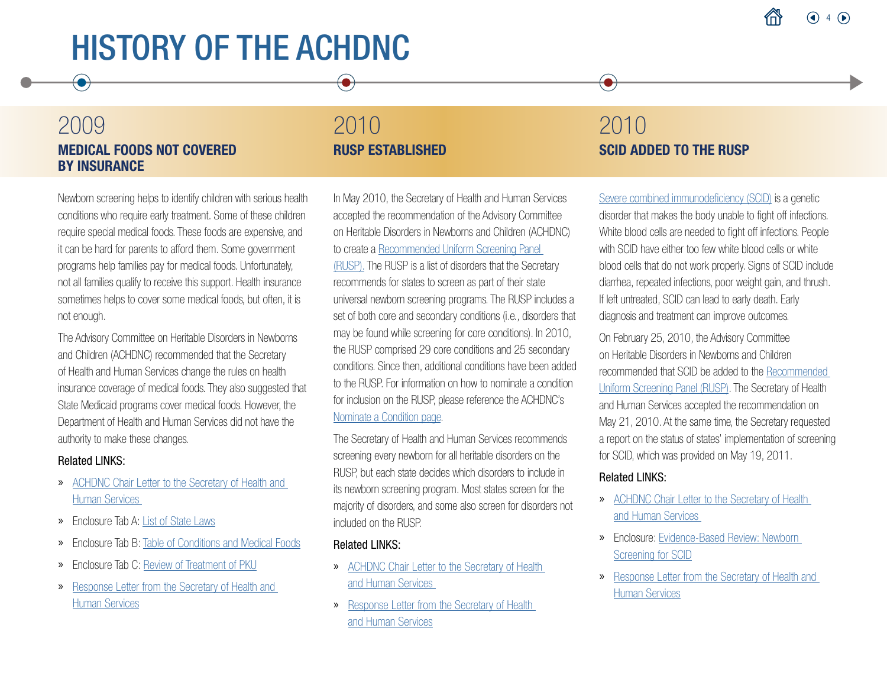## 2009 MEDICAL FOODS NOT COVERED BY INSURANCE

## 2010 RUSP ESTABLISHED

Newborn screening helps to identify children with serious health conditions who require early treatment. Some of these children require special medical foods. These foods are expensive, and it can be hard for parents to afford them. Some government programs help families pay for medical foods. Unfortunately, not all families qualify to receive this support. Health insurance sometimes helps to cover some medical foods, but often, it is not enough.

The Advisory Committee on Heritable Disorders in Newborns and Children (ACHDNC) recommended that the Secretary of Health and Human Services change the rules on health insurance coverage of medical foods. They also suggested that State Medicaid programs cover medical foods. However, the Department of Health and Human Services did not have the authority to make these changes.

#### Related LINKS:

- » [ACHDNC Chair Letter to the Secretary of Health and](https://www.hrsa.gov/sites/default/files/hrsa/advisory-committees/heritable-disorders/reports-recommendations/medical-food-letter-04-07-09.pdf)  [Human Services](https://www.hrsa.gov/sites/default/files/hrsa/advisory-committees/heritable-disorders/reports-recommendations/medical-food-letter-04-07-09.pdf)
- » Enclosure Tab A: [List of State Laws](https://www.hrsa.gov/sites/default/files/hrsa/advisory-committees/heritable-disorders/reports-recommendations/state-laws-medical-foods-tab-a.pdf)
- » Enclosure Tab B: [Table of Conditions and Medical Foods](https://www.hrsa.gov/sites/default/files/hrsa/advisory-committees/heritable-disorders/reports-recommendations/conditions-medical-foods-tab-b.pdf)
- » Enclosure Tab C[: Review of Treatment of PKU](https://www.cochranelibrary.com/cdsr/doi/10.1002/14651858.CD004731.pub3/abstract)
- » [Response Letter from the Secretary of Health and](https://www.hrsa.gov/sites/default/files/hrsa/advisory-committees/heritable-disorders/reports-recommendations/response-medical-foods-20091002.pdf)  [Human Services](https://www.hrsa.gov/sites/default/files/hrsa/advisory-committees/heritable-disorders/reports-recommendations/response-medical-foods-20091002.pdf)

In May 2010, the Secretary of Health and Human Services accepted the recommendation of the Advisory Committee on Heritable Disorders in Newborns and Children (ACHDNC) to create a [Recommended Uniform Screening Panel](https://www.hrsa.gov/advisory-committees/heritable-disorders/rusp/index.html)  [\(RUSP\).](https://www.hrsa.gov/advisory-committees/heritable-disorders/rusp/index.html) The RUSP is a list of disorders that the Secretary recommends for states to screen as part of their state universal newborn screening programs. The RUSP includes a set of both core and secondary conditions (i.e., disorders that may be found while screening for core conditions). In 2010, the RUSP comprised 29 core conditions and 25 secondary conditions. Since then, additional conditions have been added to the RUSP. For information on how to nominate a condition for inclusion on the RUSP, please reference the ACHDNC's [Nominate a Condition page](https://www.hrsa.gov/advisory-committees/heritable-disorders/rusp/nominate.html).

The Secretary of Health and Human Services recommends screening every newborn for all heritable disorders on the RUSP, but each state decides which disorders to include in its newborn screening program. Most states screen for the majority of disorders, and some also screen for disorders not included on the RUSP.

#### Related LINKS:

- » [ACHDNC Chair Letter to the Secretary of Health](https://www.hrsa.gov/sites/default/files/hrsa/advisory-committees/heritable-disorders/reports-recommendations/adoption-all-state-rusp.pdf)  [and Human Services](https://www.hrsa.gov/sites/default/files/hrsa/advisory-committees/heritable-disorders/reports-recommendations/adoption-all-state-rusp.pdf)
- » [Response Letter from the Secretary of Health](https://www.hrsa.gov/sites/default/files/hrsa/advisory-committees/heritable-disorders/reports-recommendations/response-rusp-20100521.pdf)  [and Human Services](https://www.hrsa.gov/sites/default/files/hrsa/advisory-committees/heritable-disorders/reports-recommendations/response-rusp-20100521.pdf)

## 2010 SCID ADDED TO THE RUSP

 $\bullet$ 

[Severe combined immunodeficiency \(SCID\)](https://newbornscreening.hrsa.gov/conditions/severe-combined-immunodeficiencies) is a genetic disorder that makes the body unable to fight off infections. White blood cells are needed to fight off infections. People with SCID have either too few white blood cells or white blood cells that do not work properly. Signs of SCID include diarrhea, repeated infections, poor weight gain, and thrush. If left untreated, SCID can lead to early death. Early diagnosis and treatment can improve outcomes.

On February 25, 2010, the Advisory Committee on Heritable Disorders in Newborns and Children recommended that SCID be added to the [Recommended](https://www.hrsa.gov/advisory-committees/heritable-disorders/rusp/index.html)  [Uniform Screening Panel \(RUSP\).](https://www.hrsa.gov/advisory-committees/heritable-disorders/rusp/index.html) The Secretary of Health and Human Services accepted the recommendation on May 21, 2010. At the same time, the Secretary requested a report on the status of states' implementation of screening for SCID, which was provided on May 19, 2011.

- » [ACHDNC Chair Letter to the Secretary of Health](https://www.hrsa.gov/sites/default/files/hrsa/advisory-committees/heritable-disorders/reports-recommendations/letter-to-sec-immune-deficiency.pdf)  [and Human Services](https://www.hrsa.gov/sites/default/files/hrsa/advisory-committees/heritable-disorders/reports-recommendations/letter-to-sec-immune-deficiency.pdf)
- » Enclosure: [Evidence-Based Review: Newborn](https://www.hrsa.gov/sites/default/files/hrsa/advisory-committees/heritable-disorders/reports-recommendations/reports/newborn-screening-scid-report.pdf)  [Screening for SCID](https://www.hrsa.gov/sites/default/files/hrsa/advisory-committees/heritable-disorders/reports-recommendations/reports/newborn-screening-scid-report.pdf)
- » [Response Letter from the Secretary of Health and](https://www.hrsa.gov/sites/default/files/hrsa/advisory-committees/heritable-disorders/reports-recommendations/response-rusp-20100521.pdf)  [Human Services](https://www.hrsa.gov/sites/default/files/hrsa/advisory-committees/heritable-disorders/reports-recommendations/response-rusp-20100521.pdf)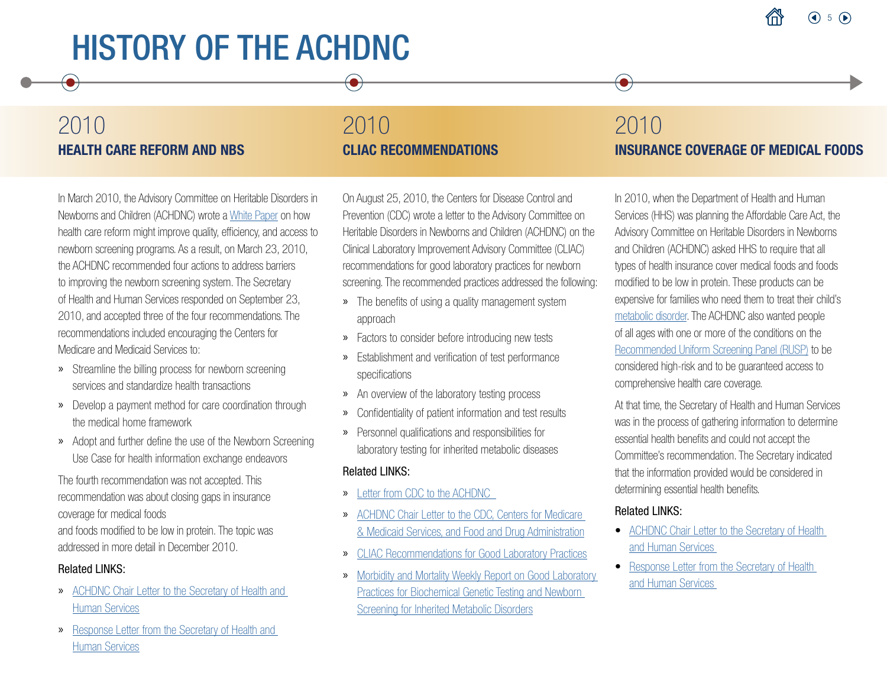## 2010 HEALTH CARE REFORM AND NBS

## 2010 CLIAC RECOMMENDATIONS

In March 2010, the Advisory Committee on Heritable Disorders in Newborns and Children (ACHDNC) wrote a [White Paper](https://www.hrsa.gov/sites/default/files/hrsa/advisory-committees/heritable-disorders/reports-recommendations/nbs-healthcare-reform-white-paper.pdf) on how health care reform might improve quality, efficiency, and access to newborn screening programs. As a result, on March 23, 2010, the ACHDNC recommended four actions to address barriers to improving the newborn screening system. The Secretary of Health and Human Services responded on September 23, 2010, and accepted three of the four recommendations. The recommendations included encouraging the Centers for Medicare and Medicaid Services to:

- » Streamline the billing process for newborn screening services and standardize health transactions
- » Develop a payment method for care coordination through the medical home framework
- » Adopt and further define the use of the Newborn Screening Use Case for health information exchange endeavors

The fourth recommendation was not accepted. This recommendation was about closing gaps in insurance coverage for medical foods

and foods modified to be low in protein. The topic was addressed in more detail in December 2010.

#### Related LINKS:

- » [ACHDNC Chair Letter to the Secretary of Health and](https://www.hrsa.gov/sites/default/files/hrsa/advisory-committees/heritable-disorders/reports-recommendations/healthcare-reform-20100323.pdf)  [Human Services](https://www.hrsa.gov/sites/default/files/hrsa/advisory-committees/heritable-disorders/reports-recommendations/healthcare-reform-20100323.pdf)
- » [Response Letter from the Secretary of Health and](https://www.hrsa.gov/sites/default/files/hrsa/advisory-committees/heritable-disorders/reports-recommendations/response-healthcare-reform-20100323.pdf)  [Human Services](https://www.hrsa.gov/sites/default/files/hrsa/advisory-committees/heritable-disorders/reports-recommendations/response-healthcare-reform-20100323.pdf)

On August 25, 2010, the Centers for Disease Control and Prevention (CDC) wrote a letter to the Advisory Committee on Heritable Disorders in Newborns and Children (ACHDNC) on the Clinical Laboratory Improvement Advisory Committee (CLIAC) recommendations for good laboratory practices for newborn screening. The recommended practices addressed the following:

- » The benefits of using a quality management system approach
- » Factors to consider before introducing new tests
- » Establishment and verification of test performance specifications
- » An overview of the laboratory testing process
- » Confidentiality of patient information and test results
- » Personnel qualifications and responsibilities for laboratory testing for inherited metabolic diseases

#### Related LINKS:

- » [Letter from CDC to the ACHDNC](https://www.hrsa.gov/sites/default/files/hrsa/advisory-committees/heritable-disorders/reports-recommendations/response-from-cdc-cliac.pdf)
- » [ACHDNC Chair Letter to the CDC, Centers for Medicare](https://www.hrsa.gov/sites/default/files/hrsa/advisory-committees/heritable-disorders/reports-recommendations/letter-to-sec-cliac.pdf)  [& Medicaid Services, and Food and Drug Administration](https://www.hrsa.gov/sites/default/files/hrsa/advisory-committees/heritable-disorders/reports-recommendations/letter-to-sec-cliac.pdf)
- » [CLIAC Recommendations for Good Laboratory Practices](https://www.hrsa.gov/sites/default/files/hrsa/advisory-committees/heritable-disorders/reports-recommendations/letter-to-sec-cliac.pdf)
- » [Morbidity and Mortality Weekly Report on Good Laboratory](https://www.cdc.gov/Mmwr/preview/mmwrhtml/rr6102a1.htm)  [Practices for Biochemical Genetic Testing and Newborn](https://www.cdc.gov/Mmwr/preview/mmwrhtml/rr6102a1.htm)  [Screening for Inherited Metabolic Disorders](https://www.cdc.gov/Mmwr/preview/mmwrhtml/rr6102a1.htm)

## 2010 INSURANCE COVERAGE OF MEDICAL FOODS

In 2010, when the Department of Health and Human Services (HHS) was planning the Affordable Care Act, the Advisory Committee on Heritable Disorders in Newborns and Children (ACHDNC) asked HHS to require that all types of health insurance cover medical foods and foods modified to be low in protein. These products can be expensive for families who need them to treat their child's [metabolic disorder](https://newbornscreening.hrsa.gov/about-newborn-screening/glossary#m). The ACHDNC also wanted people of all ages with one or more of the conditions on the [Recommended Uniform Screening Panel \(RUSP\)](https://www.hrsa.gov/advisory-committees/heritable-disorders/rusp/index.html) to be considered high-risk and to be guaranteed access to comprehensive health care coverage.

At that time, the Secretary of Health and Human Services was in the process of gathering information to determine essential health benefits and could not accept the Committee's recommendation. The Secretary indicated that the information provided would be considered in determining essential health benefits.

### Related LINKS:

 $\bullet$ 

- [ACHDNC Chair Letter to the Secretary of Health](https://www.hrsa.gov/sites/default/files/hrsa/advisory-committees/heritable-disorders/reports-recommendations/letter-to-sec-medical-foods.pdf)  [and Human Services](https://www.hrsa.gov/sites/default/files/hrsa/advisory-committees/heritable-disorders/reports-recommendations/letter-to-sec-medical-foods.pdf)
- [Response Letter from the Secretary of Health](https://www.hrsa.gov/sites/default/files/hrsa/advisory-committees/heritable-disorders/reports-recommendations/response-medical-foods-20101214.pdf)  [and Human Services](https://www.hrsa.gov/sites/default/files/hrsa/advisory-committees/heritable-disorders/reports-recommendations/response-medical-foods-20101214.pdf)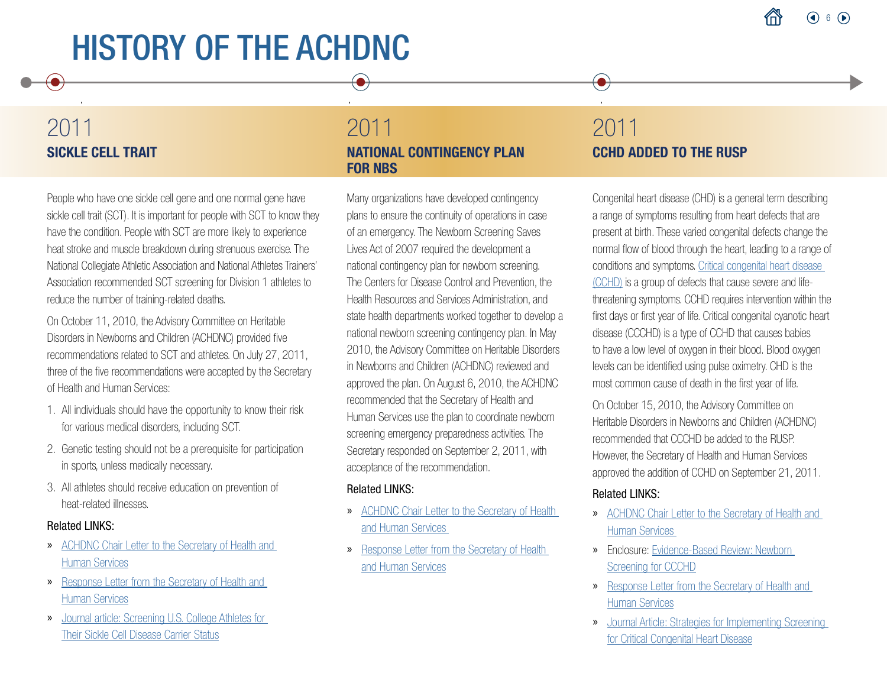## 2011 SICKLE CELL TRAIT

 $\bullet$ 

People who have one sickle cell gene and one normal gene have sickle cell trait (SCT). It is important for people with SCT to know they have the condition. People with SCT are more likely to experience heat stroke and muscle breakdown during strenuous exercise. The National Collegiate Athletic Association and National Athletes Trainers' Association recommended SCT screening for Division 1 athletes to reduce the number of training-related deaths.

On October 11, 2010, the Advisory Committee on Heritable Disorders in Newborns and Children (ACHDNC) provided five recommendations related to SCT and athletes. On July 27, 2011, three of the five recommendations were accepted by the Secretary of Health and Human Services:

- 1. All individuals should have the opportunity to know their risk for various medical disorders, including SCT.
- 2. Genetic testing should not be a prerequisite for participation in sports, unless medically necessary.
- 3. All athletes should receive education on prevention of heat-related illnesses.

#### Related LINKS:

- » [ACHDNC Chair Letter to the Secretary of Health and](https://www.hrsa.gov/sites/default/files/hrsa/advisory-committees/heritable-disorders/reports-recommendations/letter-to-sec-sickle-cell-20100614.pdf)  [Human Services](https://www.hrsa.gov/sites/default/files/hrsa/advisory-committees/heritable-disorders/reports-recommendations/letter-to-sec-sickle-cell-20100614.pdf)
- » [Response Letter from the Secretary of Health and](https://www.hrsa.gov/sites/default/files/hrsa/advisory-committees/heritable-disorders/reports-recommendations/reponse-sickle-cell.pdf)  [Human Services](https://www.hrsa.gov/sites/default/files/hrsa/advisory-committees/heritable-disorders/reports-recommendations/reponse-sickle-cell.pdf)
- » [Journal article: Screening U.S. College Athletes for](https://www.ajpmonline.org/article/S0749-3797(11)00675-1/pdf)  [Their Sickle Cell Disease Carrier Status](https://www.ajpmonline.org/article/S0749-3797(11)00675-1/pdf)

### 2011 NATIONAL CONTINGENCY PLAN FOR NBS

 $\bullet$ 

Many organizations have developed contingency plans to ensure the continuity of operations in case of an emergency. The Newborn Screening Saves Lives Act of 2007 required the development a national contingency plan for newborn screening. The Centers for Disease Control and Prevention, the Health Resources and Services Administration, and state health departments worked together to develop a national newborn screening contingency plan. In May 2010, the Advisory Committee on Heritable Disorders in Newborns and Children (ACHDNC) reviewed and approved the plan. On August 6, 2010, the ACHDNC recommended that the Secretary of Health and Human Services use the plan to coordinate newborn screening emergency preparedness activities. The Secretary responded on September 2, 2011, with acceptance of the recommendation.

#### Related LINKS:

- » [ACHDNC Chair Letter to the Secretary of Health](https://www.hrsa.gov/sites/default/files/hrsa/advisory-committees/heritable-disorders/reports-recommendations/letter-to-sec-contingency-plan.pdf)  [and Human Services](https://www.hrsa.gov/sites/default/files/hrsa/advisory-committees/heritable-disorders/reports-recommendations/letter-to-sec-contingency-plan.pdf)
- » [Response Letter from the Secretary of Health](https://www.hrsa.gov/sites/default/files/hrsa/advisory-committees/heritable-disorders/reports-recommendations/secreatry-final-response-contingency-plan.pdf)  [and Human Services](https://www.hrsa.gov/sites/default/files/hrsa/advisory-committees/heritable-disorders/reports-recommendations/secreatry-final-response-contingency-plan.pdf)

## 2011 CCHD ADDED TO THE RUSP

 $\left( \bullet \right)$ 

Congenital heart disease (CHD) is a general term describing a range of symptoms resulting from heart defects that are present at birth. These varied congenital defects change the normal flow of blood through the heart, leading to a range of conditions and symptoms. [Critical congenital heart disease](https://newbornscreening.hrsa.gov/conditions/critical-congenital-heart-disease)  [\(CCHD\)](https://newbornscreening.hrsa.gov/conditions/critical-congenital-heart-disease) is a group of defects that cause severe and lifethreatening symptoms. CCHD requires intervention within the first days or first year of life. Critical congenital cyanotic heart disease (CCCHD) is a type of CCHD that causes babies to have a low level of oxygen in their blood. Blood oxygen levels can be identified using pulse oximetry. CHD is the most common cause of death in the first year of life.

On October 15, 2010, the Advisory Committee on Heritable Disorders in Newborns and Children (ACHDNC) recommended that CCCHD be added to the RUSP. However, the Secretary of Health and Human Services approved the addition of CCHD on September 21, 2011.

- » [ACHDNC Chair Letter to the Secretary of Health and](https://www.hrsa.gov/sites/default/files/hrsa/advisory-committees/heritable-disorders/reports-recommendations/criticalcongenital.pdf)  [Human Services](https://www.hrsa.gov/sites/default/files/hrsa/advisory-committees/heritable-disorders/reports-recommendations/criticalcongenital.pdf)
- » Enclosure: [Evidence-Based Review: Newborn](https://www.hrsa.gov/sites/default/files/hrsa/advisory-committees/heritable-disorders/rusp/previous-nominations/cyanotic-heart-external-evidence-review-report.pdf)  [Screening for CCCHD](https://www.hrsa.gov/sites/default/files/hrsa/advisory-committees/heritable-disorders/rusp/previous-nominations/cyanotic-heart-external-evidence-review-report.pdf)
- » [Response Letter from the Secretary of Health and](https://www.hrsa.gov/sites/default/files/hrsa/advisory-committees/heritable-disorders/reports-recommendations/response-congenital-cyanotic.pdf)  [Human Services](https://www.hrsa.gov/sites/default/files/hrsa/advisory-committees/heritable-disorders/reports-recommendations/response-congenital-cyanotic.pdf)
- » [Journal Article: Strategies for Implementing Screening](https://pubmed.ncbi.nlm.nih.gov/21987707/)  [for Critical Congenital Heart Disease](https://pubmed.ncbi.nlm.nih.gov/21987707/)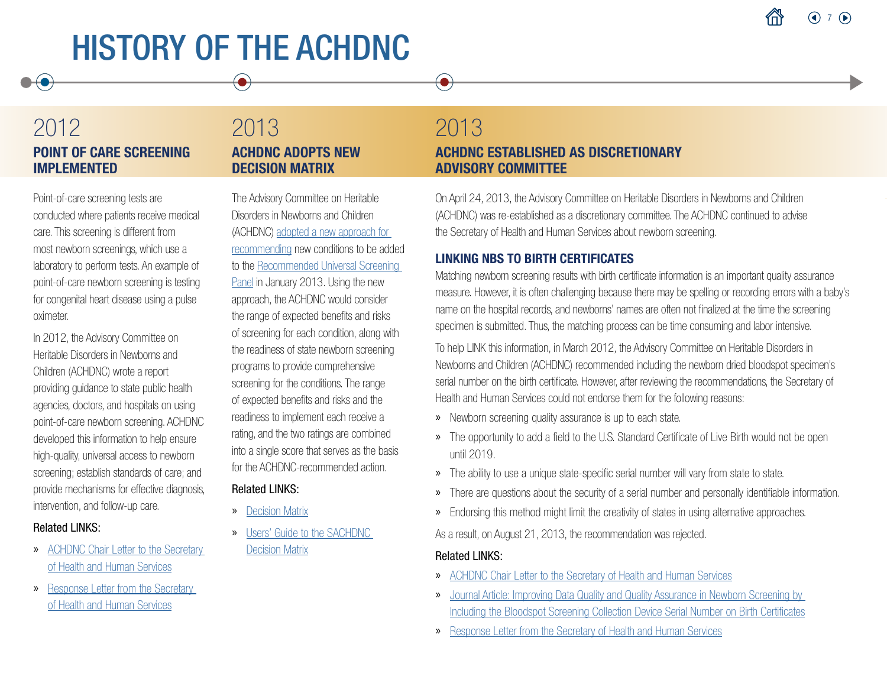## 2012 POINT OF CARE SCREENING IMPLEMENTED

Point-of-care screening tests are conducted where patients receive medical care. This screening is different from most newborn screenings, which use a laboratory to perform tests. An example of point-of-care newborn screening is testing for congenital heart disease using a pulse oximeter.

In 2012, the Advisory Committee on Heritable Disorders in Newborns and Children (ACHDNC) wrote a report providing guidance to state public health agencies, doctors, and hospitals on using point-of-care newborn screening. ACHDNC developed this information to help ensure high-quality, universal access to newborn screening; establish standards of care; and provide mechanisms for effective diagnosis, intervention, and follow-up care.

#### Related LINKS:

- » [ACHDNC Chair Letter to the Secretary](https://www.hrsa.gov/sites/default/files/hrsa/advisory-committees/heritable-disorders/reports-recommendations/letter-to-sec-point-of-care.pdf)  [of Health and Human Services](https://www.hrsa.gov/sites/default/files/hrsa/advisory-committees/heritable-disorders/reports-recommendations/letter-to-sec-point-of-care.pdf)
- » [Response Letter from the Secretary](https://www.hrsa.gov/sites/default/files/hrsa/advisory-committees/heritable-disorders/reports-recommendations/response-point-of-care.pdf)  [of Health and Human Services](https://www.hrsa.gov/sites/default/files/hrsa/advisory-committees/heritable-disorders/reports-recommendations/response-point-of-care.pdf)

### 2013 ACHDNC ADOPTS NEW DECISION MATRIX

The Advisory Committee on Heritable Disorders in Newborns and Children (ACHDNC) [adopted a new approach for](https://www.nature.com/articles/gim201398)  [recommending](https://www.nature.com/articles/gim201398) new conditions to be added to the [Recommended Universal Screening](https://www.hrsa.gov/advisory-committees/heritable-disorders/rusp/index.html)  [Panel](https://www.hrsa.gov/advisory-committees/heritable-disorders/rusp/index.html) in January 2013. Using the new approach, the ACHDNC would consider the range of expected benefits and risks of screening for each condition, along with the readiness of state newborn screening programs to provide comprehensive screening for the conditions. The range of expected benefits and risks and the readiness to implement each receive a rating, and the two ratings are combined into a single score that serves as the basis for the ACHDNC-recommended action.

#### Related LINKS:

- » [Decision Matrix](https://www.hrsa.gov/sites/default/files/hrsa/advisory-committees/heritable-disorders/rusp/Nominate-condition/decision-matrix.pdf)
- » [Users' Guide to the SACHDNC](https://www.hrsa.gov/sites/default/files/hrsa/advisory-committees/heritable-disorders/meetings/Heritable%20Disorders%202004-2015/2013/January%2031,%202013/sachdncdecisionmatrixuserguide.pdf)  [Decision Matrix](https://www.hrsa.gov/sites/default/files/hrsa/advisory-committees/heritable-disorders/meetings/Heritable%20Disorders%202004-2015/2013/January%2031,%202013/sachdncdecisionmatrixuserguide.pdf)

## 2013

 $\bullet$ 

### ACHDNC ESTABLISHED AS DISCRETIONARY ADVISORY COMMITTEE

On April 24, 2013, the Advisory Committee on Heritable Disorders in Newborns and Children (ACHDNC) was re-established as a discretionary committee. The ACHDNC continued to advise the Secretary of Health and Human Services about newborn screening.

### LINKING NBS TO BIRTH CERTIFICATES

Matching newborn screening results with birth certificate information is an important quality assurance measure. However, it is often challenging because there may be spelling or recording errors with a baby's name on the hospital records, and newborns' names are often not finalized at the time the screening specimen is submitted. Thus, the matching process can be time consuming and labor intensive.

To help LINK this information, in March 2012, the Advisory Committee on Heritable Disorders in Newborns and Children (ACHDNC) recommended including the newborn dried bloodspot specimen's serial number on the birth certificate. However, after reviewing the recommendations, the Secretary of Health and Human Services could not endorse them for the following reasons:

- » Newborn screening quality assurance is up to each state.
- » The opportunity to add a field to the U.S. Standard Certificate of Live Birth would not be open until 2019.
- » The ability to use a unique state-specific serial number will vary from state to state.
- » There are questions about the security of a serial number and personally identifiable information.
- » Endorsing this method might limit the creativity of states in using alternative approaches.

As a result, on August 21, 2013, the recommendation was rejected.

- » [ACHDNC Chair Letter to the Secretary of Health and Human Services](https://www.hrsa.gov/sites/default/files/hrsa/advisory-committees/heritable-disorders/reports-recommendations/letter-to-sec-birth-cert.pdf)
- » [Journal Article: Improving Data Quality and Quality Assurance in Newborn Screening by](https://www.nature.com/articles/gim2012121)  [Including the Bloodspot Screening Collection Device Serial Number on Birth Certificates](https://www.nature.com/articles/gim2012121)
- » [Response Letter from the Secretary of Health and Human Services](https://www.hrsa.gov/sites/default/files/hrsa/advisory-committees/heritable-disorders/reports-recommendations/response-post-icc-birth-cert.pdf)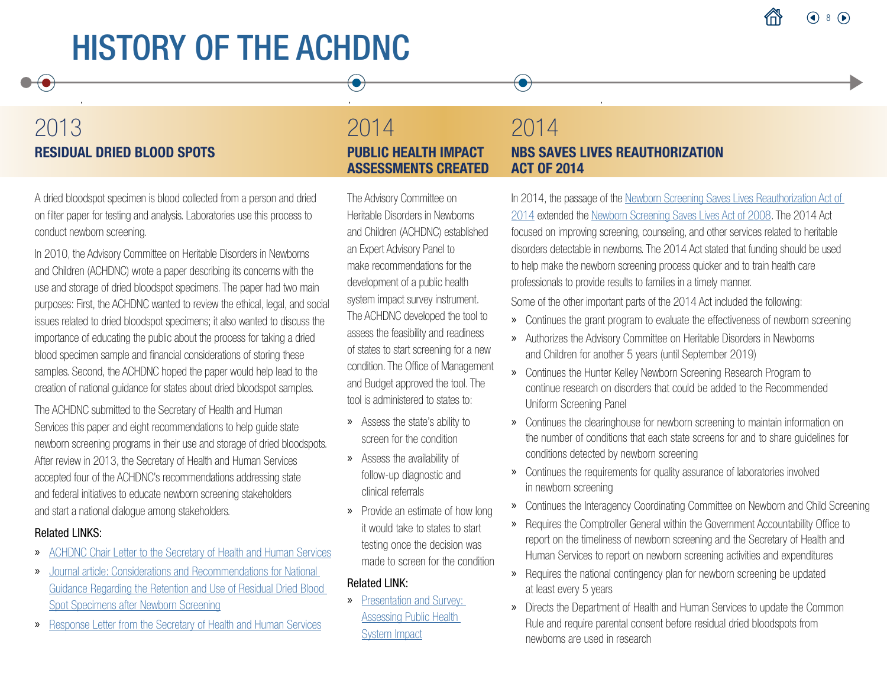## 2013 RESIDUAL DRIED BLOOD SPOTS

A dried bloodspot specimen is blood collected from a person and dried on filter paper for testing and analysis. Laboratories use this process to conduct newborn screening.

In 2010, the Advisory Committee on Heritable Disorders in Newborns and Children (ACHDNC) wrote a paper describing its concerns with the use and storage of dried bloodspot specimens. The paper had two main purposes: First, the ACHDNC wanted to review the ethical, legal, and social issues related to dried bloodspot specimens; it also wanted to discuss the importance of educating the public about the process for taking a dried blood specimen sample and financial considerations of storing these samples. Second, the ACHDNC hoped the paper would help lead to the creation of national guidance for states about dried bloodspot samples.

The ACHDNC submitted to the Secretary of Health and Human Services this paper and eight recommendations to help guide state newborn screening programs in their use and storage of dried bloodspots. After review in 2013, the Secretary of Health and Human Services accepted four of the ACHDNC's recommendations addressing state and federal initiatives to educate newborn screening stakeholders and start a national dialogue among stakeholders.

#### Related LINKS:

- » [ACHDNC Chair Letter to the Secretary of Health and Human Services](https://www.hrsa.gov/sites/default/files/hrsa/advisory-committees/heritable-disorders/reports-recommendations/letter-to-sec-dried-blood.pdf)
- » [Journal article: Considerations and Recommendations for National](https://www.nature.com/articles/gim92011101)  [Guidance Regarding the Retention and Use of Residual Dried Blood](https://www.nature.com/articles/gim92011101)  [Spot Specimens after Newborn Screening](https://www.nature.com/articles/gim92011101)
- » [Response Letter from the Secretary of Health and Human Services](https://www.hrsa.gov/sites/default/files/hrsa/advisory-committees/heritable-disorders/reports-recommendations/response-dried-blood-2013.pdf)

### 2014 PUBLIC HEALTH IMPACT ASSESSMENTS CREATED

 $\bullet$ 

The Advisory Committee on Heritable Disorders in Newborns and Children (ACHDNC) established an Expert Advisory Panel to make recommendations for the development of a public health system impact survey instrument. The ACHDNC developed the tool to assess the feasibility and readiness of states to start screening for a new condition. The Office of Management and Budget approved the tool. The tool is administered to states to:

- » Assess the state's ability to screen for the condition
- » Assess the availability of follow-up diagnostic and clinical referrals
- » Provide an estimate of how long it would take to states to start testing once the decision was made to screen for the condition

#### Related LINK:

» [Presentation and Survey:](https://www.hrsa.gov/sites/default/files/hrsa/advisory-committees/heritable-disorders/meetings/Heritable%20Disorders%202004-2015/2014/September%2011-12,%202014/publichealthsystemimpact.pdf)  [Assessing Public Health](https://www.hrsa.gov/sites/default/files/hrsa/advisory-committees/heritable-disorders/meetings/Heritable%20Disorders%202004-2015/2014/September%2011-12,%202014/publichealthsystemimpact.pdf)  [System Impact](https://www.hrsa.gov/sites/default/files/hrsa/advisory-committees/heritable-disorders/meetings/Heritable%20Disorders%202004-2015/2014/September%2011-12,%202014/publichealthsystemimpact.pdf)

### 2014 NBS SAVES LIVES REAUTHORIZATION ACT OF 2014

 $\bullet$ 

In 2014, the passage of the [Newborn Screening Saves Lives Reauthorization Act of](https://www.congress.gov/bill/113th-congress/house-bill/1281)  [2014](https://www.congress.gov/bill/113th-congress/house-bill/1281) extended the [Newborn Screening Saves Lives Act of 2008](https://www.congress.gov/bill/110th-congress/senate-bill/1858). The 2014 Act focused on improving screening, counseling, and other services related to heritable disorders detectable in newborns. The 2014 Act stated that funding should be used to help make the newborn screening process quicker and to train health care professionals to provide results to families in a timely manner.

Some of the other important parts of the 2014 Act included the following:

- » Continues the grant program to evaluate the effectiveness of newborn screening
- » Authorizes the Advisory Committee on Heritable Disorders in Newborns and Children for another 5 years (until September 2019)
- » Continues the Hunter Kelley Newborn Screening Research Program to continue research on disorders that could be added to the Recommended Uniform Screening Panel
- » Continues the clearinghouse for newborn screening to maintain information on the number of conditions that each state screens for and to share guidelines for conditions detected by newborn screening
- » Continues the requirements for quality assurance of laboratories involved in newborn screening
- » Continues the Interagency Coordinating Committee on Newborn and Child Screening
- » Requires the Comptroller General within the Government Accountability Office to report on the timeliness of newborn screening and the Secretary of Health and Human Services to report on newborn screening activities and expenditures
- » Requires the national contingency plan for newborn screening be updated at least every 5 years
- » Directs the Department of Health and Human Services to update the Common Rule and require parental consent before residual dried bloodspots from newborns are used in research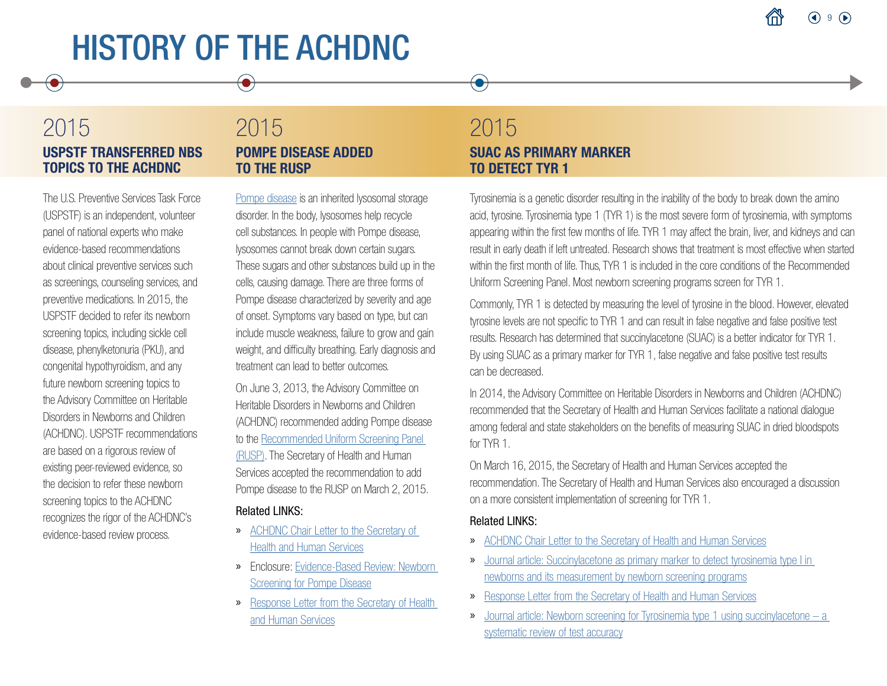## 2015 USPSTF TRANSFERRED NBS TOPICS TO THE ACHDNC

 $\bullet$ 

The U.S. Preventive Services Task Force (USPSTF) is an independent, volunteer panel of national experts who make evidence-based recommendations about clinical preventive services such as screenings, counseling services, and preventive medications. In 2015, the USPSTF decided to refer its newborn screening topics, including sickle cell disease, phenylketonuria (PKU), and congenital hypothyroidism, and any future newborn screening topics to the Advisory Committee on Heritable Disorders in Newborns and Children (ACHDNC). USPSTF recommendations are based on a rigorous review of existing peer-reviewed evidence, so the decision to refer these newborn screening topics to the ACHDNC recognizes the rigor of the ACHDNC's evidence-based review process.

### 2015 POMPE DISEASE ADDED TO THE RUSP

[Pompe disease](https://newbornscreening.hrsa.gov/conditions/pompe-disease) is an inherited lysosomal storage disorder. In the body, lysosomes help recycle cell substances. In people with Pompe disease, lysosomes cannot break down certain sugars. These sugars and other substances build up in the cells, causing damage. There are three forms of Pompe disease characterized by severity and age of onset. Symptoms vary based on type, but can include muscle weakness, failure to grow and gain weight, and difficulty breathing. Early diagnosis and treatment can lead to better outcomes.

On June 3, 2013, the Advisory Committee on Heritable Disorders in Newborns and Children (ACHDNC) recommended adding Pompe disease to the [Recommended Uniform Screening Panel](https://www.hrsa.gov/advisory-committees/heritable-disorders/rusp/index.html)  [\(RUSP\)](https://www.hrsa.gov/advisory-committees/heritable-disorders/rusp/index.html). The Secretary of Health and Human Services accepted the recommendation to add Pompe disease to the RUSP on March 2, 2015.

#### Related LINKS:

- » [ACHDNC Chair Letter to the Secretary of](https://www.hrsa.gov/sites/default/files/hrsa/advisory-committees/heritable-disorders/reports-recommendations/letter-to-sec-pompe.pdf)  [Health and Human Services](https://www.hrsa.gov/sites/default/files/hrsa/advisory-committees/heritable-disorders/reports-recommendations/letter-to-sec-pompe.pdf)
- » Enclosure: [Evidence-Based Review: Newborn](https://www.hrsa.gov/sites/default/files/hrsa/advisory-committees/heritable-disorders/rusp/previous-nominations/pompe-external-evidence-review-report-2013.pdf)  [Screening for Pompe Disease](https://www.hrsa.gov/sites/default/files/hrsa/advisory-committees/heritable-disorders/rusp/previous-nominations/pompe-external-evidence-review-report-2013.pdf)
- » [Response Letter from the Secretary of Health](https://www.hrsa.gov/sites/default/files/hrsa/advisory-committees/heritable-disorders/reports-recommendations/secretary-final-response-pompe.pdf)  [and Human Services](https://www.hrsa.gov/sites/default/files/hrsa/advisory-committees/heritable-disorders/reports-recommendations/secretary-final-response-pompe.pdf)

### 2015 SUAC AS PRIMARY MARKER TO DETECT TYR 1

 $\left( \bullet \right)$ 

Tyrosinemia is a genetic disorder resulting in the inability of the body to break down the amino acid, tyrosine. Tyrosinemia type 1 (TYR 1) is the most severe form of tyrosinemia, with symptoms appearing within the first few months of life. TYR 1 may affect the brain, liver, and kidneys and can result in early death if left untreated. Research shows that treatment is most effective when started within the first month of life. Thus, TYR 1 is included in the core conditions of the Recommended Uniform Screening Panel. Most newborn screening programs screen for TYR 1.

Commonly, TYR 1 is detected by measuring the level of tyrosine in the blood. However, elevated tyrosine levels are not specific to TYR 1 and can result in false negative and false positive test results. Research has determined that succinylacetone (SUAC) is a better indicator for TYR 1. By using SUAC as a primary marker for TYR 1, false negative and false positive test results can be decreased.

In 2014, the Advisory Committee on Heritable Disorders in Newborns and Children (ACHDNC) recommended that the Secretary of Health and Human Services facilitate a national dialogue among federal and state stakeholders on the benefits of measuring SUAC in dried bloodspots for TYR 1.

On March 16, 2015, the Secretary of Health and Human Services accepted the recommendation. The Secretary of Health and Human Services also encouraged a discussion on a more consistent implementation of screening for TYR 1.

- » [ACHDNC Chair Letter to the Secretary of Health and Human Services](https://www.hrsa.gov/sites/default/files/hrsa/advisory-committees/heritable-disorders/reports-recommendations/succinylacetone-letter-to-sec.pdf)
- » [Journal article: Succinylacetone as primary marker to detect tyrosinemia type I in](https://www.hrsa.gov/sites/default/files/hrsa/advisory-committees/heritable-disorders/reports-recommendations/succinylacetone-programs-report.pdf)  [newborns and its measurement by newborn screening programs](https://www.hrsa.gov/sites/default/files/hrsa/advisory-committees/heritable-disorders/reports-recommendations/succinylacetone-programs-report.pdf)
- » [Response Letter from the Secretary of Health and Human Services](https://www.hrsa.gov/sites/default/files/hrsa/advisory-committees/heritable-disorders/reports-recommendations/succinylacetone-response.pdf)
- » [Journal article: Newborn screening for Tyrosinemia type 1 using succinylacetone a](https://ojrd.biomedcentral.com/articles/10.1186/s13023-017-0599-z)  [systematic review of test accuracy](https://ojrd.biomedcentral.com/articles/10.1186/s13023-017-0599-z)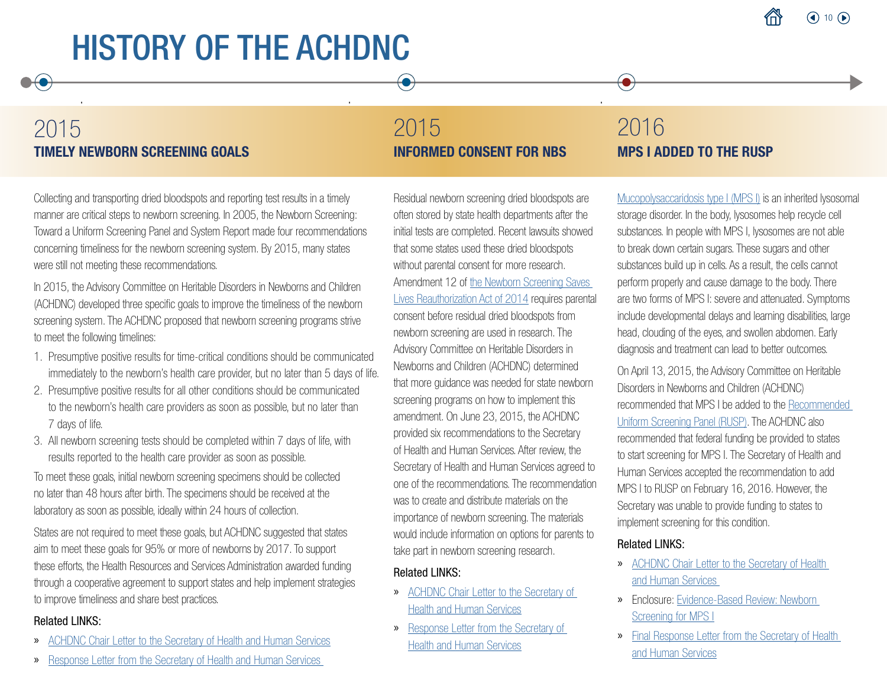## 2015 TIMELY NEWBORN SCREENING GOALS

## 2015 INFORMED CONSENT FOR NBS

Collecting and transporting dried bloodspots and reporting test results in a timely manner are critical steps to newborn screening. In 2005, the Newborn Screening: Toward a Uniform Screening Panel and System Report made four recommendations concerning timeliness for the newborn screening system. By 2015, many states were still not meeting these recommendations.

In 2015, the Advisory Committee on Heritable Disorders in Newborns and Children (ACHDNC) developed three specific goals to improve the timeliness of the newborn screening system. The ACHDNC proposed that newborn screening programs strive to meet the following timelines:

- 1. Presumptive positive results for time-critical conditions should be communicated immediately to the newborn's health care provider, but no later than 5 days of life.
- 2. Presumptive positive results for all other conditions should be communicated to the newborn's health care providers as soon as possible, but no later than 7 days of life.
- 3. All newborn screening tests should be completed within 7 days of life, with results reported to the health care provider as soon as possible.

To meet these goals, initial newborn screening specimens should be collected no later than 48 hours after birth. The specimens should be received at the laboratory as soon as possible, ideally within 24 hours of collection.

States are not required to meet these goals, but ACHDNC suggested that states aim to meet these goals for 95% or more of newborns by 2017. To support these efforts, the Health Resources and Services Administration awarded funding through a cooperative agreement to support states and help implement strategies to improve timeliness and share best practices.

#### Related LINKS:

- » [ACHDNC Chair Letter to the Secretary of Health and Human Services](https://www.hrsa.gov/sites/default/files/hrsa/advisory-committees/heritable-disorders/reports-recommendations/letter-to-sec-timely-newborn%20.pdf)
- » [Response Letter from the Secretary of Health and Human Services](https://www.hrsa.gov/sites/default/files/hrsa/advisory-committees/heritable-disorders/reports-recommendations/response-timely-newborn.pdf)

Residual newborn screening dried bloodspots are often stored by state health departments after the initial tests are completed. Recent lawsuits showed that some states used these dried bloodspots without parental consent for more research. Amendment 12 of [the Newborn Screening Saves](https://www.congress.gov/bill/113th-congress/house-bill/1281)  [Lives Reauthorization Act of 2014](https://www.congress.gov/bill/113th-congress/house-bill/1281) requires parental consent before residual dried bloodspots from newborn screening are used in research. The Advisory Committee on Heritable Disorders in Newborns and Children (ACHDNC) determined that more guidance was needed for state newborn screening programs on how to implement this amendment. On June 23, 2015, the ACHDNC provided six recommendations to the Secretary of Health and Human Services. After review, the Secretary of Health and Human Services agreed to one of the recommendations. The recommendation was to create and distribute materials on the importance of newborn screening. The materials would include information on options for parents to take part in newborn screening research.

#### Related LINKS:

- » [ACHDNC Chair Letter to the Secretary of](https://www.hrsa.gov/sites/default/files/hrsa/advisory-committees/heritable-disorders/reports-recommendations/letter-to-sec-informed-consent.pdf)  [Health and Human Services](https://www.hrsa.gov/sites/default/files/hrsa/advisory-committees/heritable-disorders/reports-recommendations/letter-to-sec-informed-consent.pdf)
- » [Response Letter from the Secretary of](https://www.hrsa.gov/sites/default/files/hrsa/advisory-committees/heritable-disorders/reports-recommendations/response-informed-consent.pdf)  [Health and Human Services](https://www.hrsa.gov/sites/default/files/hrsa/advisory-committees/heritable-disorders/reports-recommendations/response-informed-consent.pdf)

## 2016 MPS I ADDED TO THE RUSP

 $\bullet$ 

[Mucopolysaccaridosis type I \(MPS I\)](https://newbornscreening.hrsa.gov/conditions/mucopolysaccharidosis-type-i) is an inherited lysosomal storage disorder. In the body, lysosomes help recycle cell substances. In people with MPS I, lysosomes are not able to break down certain sugars. These sugars and other substances build up in cells. As a result, the cells cannot perform properly and cause damage to the body. There are two forms of MPS I: severe and attenuated. Symptoms include developmental delays and learning disabilities, large head, clouding of the eyes, and swollen abdomen. Early diagnosis and treatment can lead to better outcomes.

On April 13, 2015, the Advisory Committee on Heritable Disorders in Newborns and Children (ACHDNC) recommended that MPS I be added to the [Recommended](https://www.hrsa.gov/advisory-committees/heritable-disorders/rusp/index.html)  [Uniform Screening Panel \(RUSP\).](https://www.hrsa.gov/advisory-committees/heritable-disorders/rusp/index.html) The ACHDNC also recommended that federal funding be provided to states to start screening for MPS I. The Secretary of Health and Human Services accepted the recommendation to add MPS I to RUSP on February 16, 2016. However, the Secretary was unable to provide funding to states to implement screening for this condition.

- » [ACHDNC Chair Letter to the Secretary of Health](https://www.hrsa.gov/sites/default/files/hrsa/advisory-committees/heritable-disorders/reports-recommendations/letter-to-sec-mps1.pdf)  [and Human Services](https://www.hrsa.gov/sites/default/files/hrsa/advisory-committees/heritable-disorders/reports-recommendations/letter-to-sec-mps1.pdf)
- » Enclosure: [Evidence-Based Review: Newborn](https://www.hrsa.gov/sites/default/files/hrsa/advisory-committees/heritable-disorders/rusp/previous-nominations/mps1-external-evidence-review-report.pdf)  [Screening for MPS I](https://www.hrsa.gov/sites/default/files/hrsa/advisory-committees/heritable-disorders/rusp/previous-nominations/mps1-external-evidence-review-report.pdf)
- » [Final Response Letter from the Secretary of Health](https://www.hrsa.gov/sites/default/files/hrsa/advisory-committees/heritable-disorders/reports-recommendations/secretary-final-response-mpsi-rusp.pdf)  [and Human Services](https://www.hrsa.gov/sites/default/files/hrsa/advisory-committees/heritable-disorders/reports-recommendations/secretary-final-response-mpsi-rusp.pdf)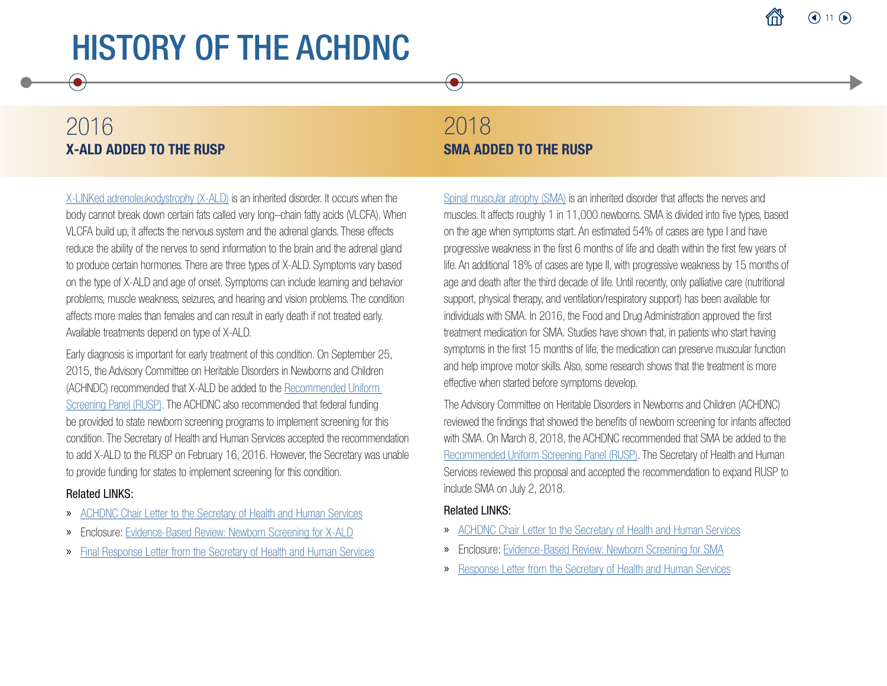## 2016 X-ALD ADDED TO THE RUSP

 $\bullet$ 

[X-LINKed adrenoleukodystrophy \(X-ALD\)](https://newbornscreening.hrsa.gov/conditions/x-linked-adrenoleukodystrophy) is an inherited disorder. It occurs when the body cannot break down certain fats called very long–chain fatty acids (VLCFA). When VLCFA build up, it affects the nervous system and the adrenal glands. These effects reduce the ability of the nerves to send information to the brain and the adrenal gland to produce certain hormones. There are three types of X-ALD. Symptoms vary based on the type of X-ALD and age of onset. Symptoms can include learning and behavior problems, muscle weakness, seizures, and hearing and vision problems. The condition affects more males than females and can result in early death if not treated early. Available treatments depend on type of X-ALD.

Early diagnosis is important for early treatment of this condition. On September 25, 2015, the Advisory Committee on Heritable Disorders in Newborns and Children (ACHNDC) recommended that X-ALD be added to the [Recommended Uniform](https://www.hrsa.gov/advisory-committees/heritable-disorders/rusp/index.html)  [Screening Panel \(RUSP\)](https://www.hrsa.gov/advisory-committees/heritable-disorders/rusp/index.html). The ACHDNC also recommended that federal funding be provided to state newborn screening programs to implement screening for this condition. The Secretary of Health and Human Services accepted the recommendation to add X-ALD to the RUSP on February 16, 2016. However, the Secretary was unable to provide funding for states to implement screening for this condition.

#### Related LINKS:

- » [ACHDNC Chair Letter to the Secretary of Health and Human Services](https://www.hrsa.gov/sites/default/files/hrsa/advisory-committees/heritable-disorders/reports-recommendations/letter-to-sec-xald.pdf)
- » Enclosure: [Evidence-Based Review: Newborn Screening for X-ALD](https://www.hrsa.gov/sites/default/files/hrsa/advisory-committees/heritable-disorders/rusp/previous-nominations/xald-external-evidence-review-report.pdf)
- » [Final Response Letter from the Secretary of Health and Human Services](https://www.hrsa.gov/sites/default/files/hrsa/advisory-committees/heritable-disorders/reports-recommendations/secretary-final-response-xald.pdf)

## 2018 SMA ADDED TO THE RUSP

 $\bullet$ 

[Spinal muscular atrophy \(SMA\)](https://newbornscreening.hrsa.gov/conditions/spinal-muscular-atrophy) is an inherited disorder that affects the nerves and muscles. It affects roughly 1 in 11,000 newborns. SMA is divided into five types, based on the age when symptoms start. An estimated 54% of cases are type I and have progressive weakness in the first 6 months of life and death within the first few years of life. An additional 18% of cases are type II, with progressive weakness by 15 months of age and death after the third decade of life. Until recently, only palliative care (nutritional support, physical therapy, and ventilation/respiratory support) has been available for individuals with SMA. In 2016, the Food and Drug Administration approved the first treatment medication for SMA. Studies have shown that, in patients who start having symptoms in the first 15 months of life, the medication can preserve muscular function and help improve motor skills. Also, some research shows that the treatment is more effective when started before symptoms develop.

The Advisory Committee on Heritable Disorders in Newborns and Children (ACHDNC) reviewed the findings that showed the benefits of newborn screening for infants affected with SMA. On March 8, 2018, the ACHDNC recommended that SMA be added to the [Recommended Uniform Screening Panel \(RUSP\)](https://www.hrsa.gov/advisory-committees/heritable-disorders/rusp/index.html). The Secretary of Health and Human Services reviewed this proposal and accepted the recommendation to expand RUSP to include SMA on July 2, 2018.

- » [ACHDNC Chair Letter to the Secretary of Health and Human Services](https://www.hrsa.gov/sites/default/files/hrsa/advisory-committees/heritable-disorders/reports-recommendations/sma-chair-letter-to-secretary-508c.pdf)
- » Enclosure: [Evidence-Based Review: Newborn Screening for SMA](https://www.hrsa.gov/sites/default/files/hrsa/advisory-committees/heritable-disorders/reports-recommendations/sma-final-report.pdf)
- » [Response Letter from the Secretary of Health and Human Services](https://www.hrsa.gov/sites/default/files/hrsa/advisory-committees/heritable-disorders/reports-recommendations/final-sign-azar-response-sma.pdf)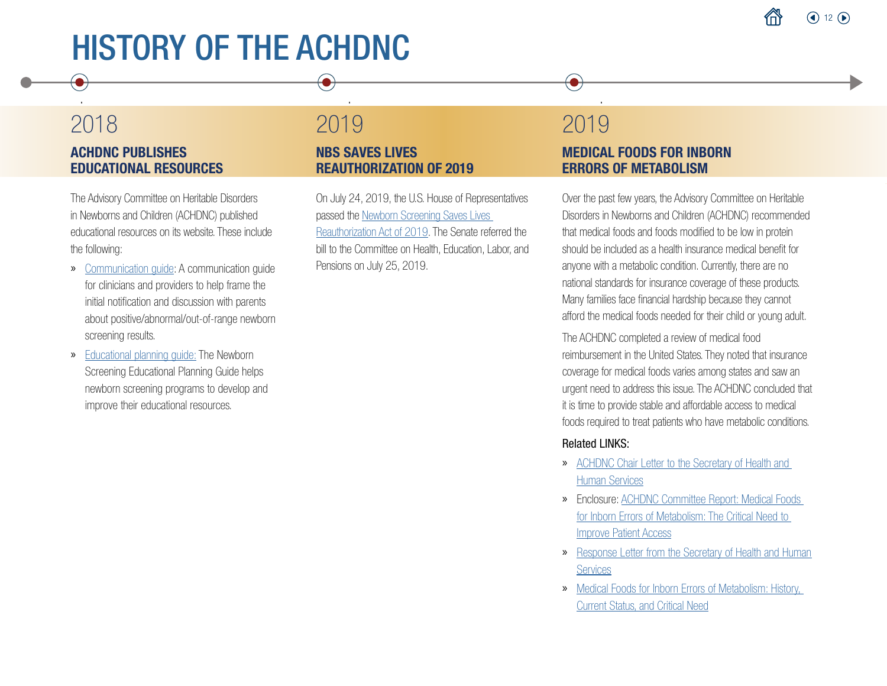## 2018 ACHDNC PUBLISHES EDUCATIONAL RESOURCES

 $\left( \bullet \right)$ 

The Advisory Committee on Heritable Disorders in Newborns and Children (ACHDNC) published educational resources on its website. These include the following:

- » [Communication guide](https://www.hrsa.gov/sites/default/files/hrsa/advisory-committees/heritable-disorders/Resources/achdnc-communication-guide-newborn.pdf): A communication guide for clinicians and providers to help frame the initial notification and discussion with parents about positive/abnormal/out-of-range newborn screening results.
- » [Educational planning guide:](https://www.hrsa.gov/sites/default/files/hrsa/advisory-committees/heritable-disorders/Resources/achdnc-educational-guide-newborn.pdf) The Newborn Screening Educational Planning Guide helps newborn screening programs to develop and improve their educational resources.

## 2019

#### NBS SAVES LIVES REAUTHORIZATION OF 2019

On July 24, 2019, the U.S. House of Representatives passed the [Newborn Screening Saves Lives](https://www.congress.gov/bill/116th-congress/house-bill/2507/text?q=%7B%22search%22%3A%5B%22newborn+screening+saves+lives%22%5D%7D&r=1&s=1) [Reauthorization Act of 2019](https://www.congress.gov/bill/116th-congress/house-bill/2507/text?q=%7B%22search%22%3A%5B%22newborn+screening+saves+lives%22%5D%7D&r=1&s=1). The Senate referred the bill to the Committee on Health, Education, Labor, and Pensions on July 25, 2019.

### 2019 MEDICAL FOODS FOR INBORN ERRORS OF METABOLISM

 $\left( \bullet \right)$ 

Over the past few years, the Advisory Committee on Heritable Disorders in Newborns and Children (ACHDNC) recommended that medical foods and foods modified to be low in protein should be included as a health insurance medical benefit for anyone with a metabolic condition. Currently, there are no national standards for insurance coverage of these products. Many families face financial hardship because they cannot afford the medical foods needed for their child or young adult.

The ACHDNC completed a review of medical food reimbursement in the United States. They noted that insurance coverage for medical foods varies among states and saw an urgent need to address this issue. The ACHDNC concluded that it is time to provide stable and affordable access to medical foods required to treat patients who have metabolic conditions.

- » [ACHDNC Chair Letter to the Secretary of Health and](https://www.hrsa.gov/sites/default/files/hrsa/advisory-committees/heritable-disorders/reports-recommendations/20190725_medicalfoods-letter-secretary.pdf)  [Human Services](https://www.hrsa.gov/sites/default/files/hrsa/advisory-committees/heritable-disorders/reports-recommendations/20190725_medicalfoods-letter-secretary.pdf)
- » Enclosure: [ACHDNC Committee Report: Medical Foods](https://www.hrsa.gov/sites/default/files/hrsa/advisory-committees/heritable-disorders/reports-recommendations/Medical-Foods-Report.pdf)  [for Inborn Errors of Metabolism: The Critical Need to](https://www.hrsa.gov/sites/default/files/hrsa/advisory-committees/heritable-disorders/reports-recommendations/Medical-Foods-Report.pdf)  [Improve Patient Access](https://www.hrsa.gov/sites/default/files/hrsa/advisory-committees/heritable-disorders/reports-recommendations/Medical-Foods-Report.pdf)
- » [Response Letter from the Secretary of Health and Human](https://www.hrsa.gov/sites/default/files/hrsa/advisory-committees/heritable-disorders/reports-recommendations/achdnc-medicalfoods-report-response-letter.pdf)  **[Services](https://www.hrsa.gov/sites/default/files/hrsa/advisory-committees/heritable-disorders/reports-recommendations/achdnc-medicalfoods-report-response-letter.pdf)**
- » [Medical Foods for Inborn Errors of Metabolism: History,](https://pediatrics.aappublications.org/content/145/3/e20192261)  [Current Status, and Critical Need](https://pediatrics.aappublications.org/content/145/3/e20192261)